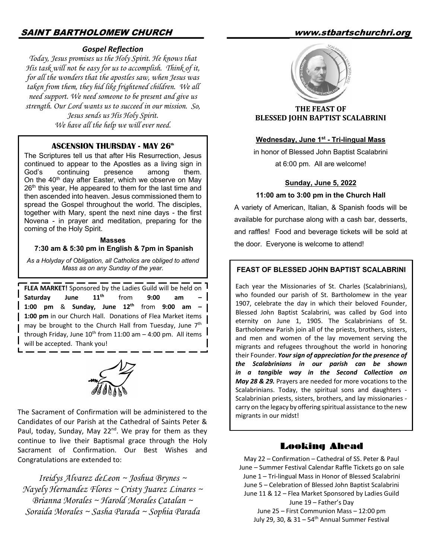# SAINT BARTHOLOMEW CHURCH www.stbartschurchri.org

#### *Gospel Reflection*

*Today, Jesus promises us the Holy Spirit. He knows that His task will not be easy for us to accomplish. Think of it, for all the wonders that the apostles saw, when Jesus was taken from them, they hid like frightened children. We all need support. We need someone to be present and give us strength. Our Lord wants us to succeed in our mission. So, Jesus sends us His Holy Spirit. We have all the help we will ever need.* 

#### **ASCENSION THURSDAY - MAY 26<sup>th</sup>**

The Scriptures tell us that after His Resurrection, Jesus continued to appear to the Apostles as a living sign in God's continuing presence among them. On the  $40<sup>th</sup>$  day after Easter, which we observe on May  $26<sup>th</sup>$  this year, He appeared to them for the last time and then ascended into heaven. Jesus commissioned them to spread the Gospel throughout the world. The disciples, together with Mary, spent the next nine days - the first Novena - in prayer and meditation, preparing for the coming of the Holy Spirit.

### **Masses 7:30 am & 5:30 pm in English & 7pm in Spanish**

*As a Holyday of Obligation, all Catholics are obliged to attend Mass as on any Sunday of the year.*

**FLEA MARKET!** Sponsored by the Ladies Guild will be held on Saturday June 11<sup>th</sup> from 9:00 am **1:00 pm** & **Sunday, June 12th** from **9:00 am – 1:00 pm** in our Church Hall. Donations of Flea Market items may be brought to the Church Hall from Tuesday, June 7<sup>th</sup> through Friday, June  $10^{th}$  from 11:00 am  $-$  4:00 pm. All items  $\overline{\phantom{a}}$ will be accepted. Thank you!



The Sacrament of Confirmation will be administered to the  $\left\{\n\begin{array}{c}\n\text{cm},\text{cm},\text{cm},\text{cm},\text{cm},\text{cm}\n\end{array}\n\right\}$ Candidates of our Parish at the Cathedral of Saints Peter & Paul, today, Sunday, May 22<sup>nd</sup>. We pray for them as they continue to live their Baptismal grace through the Holy Sacrament of Confirmation. Our Best Wishes and Congratulations are extended to:

*Ireidys Alvarez deLeon ~ Joshua Brynes ~ Nayely Hernandez Flores ~ Cristy Juarez Linares ~ Brianna Morales ~ Harold Morales Catalan ~ Soraida Morales ~ Sasha Parada ~ Sophia Parada*



**THE FEAST OF BLESSED JOHN BAPTIST SCALABRINI** 

#### **Wednesday, June 1st - Tri-lingual Mass**

in honor of Blessed John Baptist Scalabrini at 6:00 pm. All are welcome!

#### **Sunday, June 5, 2022**

#### **11:00 am to 3:00 pm in the Church Hall**

A variety of American, Italian, & Spanish foods will be available for purchase along with a cash bar, desserts, and raffles! Food and beverage tickets will be sold at the door. Everyone is welcome to attend!

#### **FEAST OF BLESSED JOHN BAPTIST SCALABRINI**

Each year the Missionaries of St. Charles (Scalabrinians), who founded our parish of St. Bartholomew in the year 1907, celebrate the day in which their beloved Founder, Blessed John Baptist Scalabrini, was called by God into eternity on June 1, 1905. The Scalabrinians of St. Bartholomew Parish join all of the priests, brothers, sisters, and men and women of the lay movement serving the migrants and refugees throughout the world in honoring their Founder. *Your sign of appreciation for the presence of the Scalabrinians in our parish can be shown in a tangible way in the Second Collection on May 28 & 29.* Prayers are needed for more vocations to the Scalabrinians. Today, the spiritual sons and daughters - Scalabrinian priests, sisters, brothers, and lay missionaries carry on the legacy by offering spiritual assistance to the new

#### Looking Ahead

May 22 – Confirmation – Cathedral of SS. Peter & Paul June – Summer Festival Calendar Raffle Tickets go on sale June 1 – Tri-lingual Mass in Honor of Blessed Scalabrini June 5 – Celebration of Blessed John Baptist Scalabrini June 11 & 12 – Flea Market Sponsored by Ladies Guild June 19 – Father's Day

June 25 – First Communion Mass – 12:00 pm July 29, 30,  $& 31 - 54<sup>th</sup>$  Annual Summer Festival